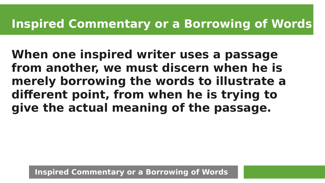#### **Inspired Commentary or a Borrowing of Words**

**When one inspired writer uses a passage from another, we must discern when he is merely borrowing the words to illustrate a different point, from when he is trying to give the actual meaning of the passage.**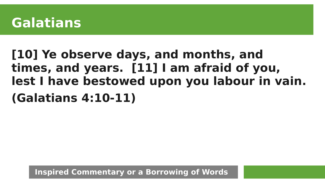

# **[10] Ye observe days, and months, and times, and years. [11] I am afraid of you, lest I have bestowed upon you labour in vain. (Galatians 4:10-11)**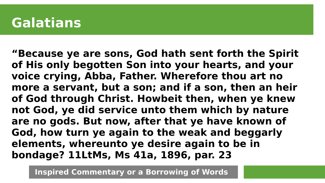**"Because ye are sons, God hath sent forth the Spirit of His only begotten Son into your hearts, and your voice crying, Abba, Father. Wherefore thou art no more a servant, but a son; and if a son, then an heir of God through Christ. Howbeit then, when ye knew not God, ye did service unto them which by nature are no gods. But now, after that ye have known of God, how turn ye again to the weak and beggarly elements, whereunto ye desire again to be in bondage? 11LtMs, Ms 41a, 1896, par. 23**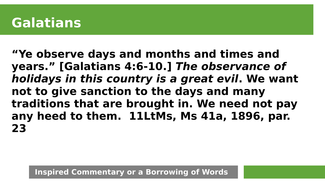**"Ye observe days and months and times and years." [[Galatians 4:6-10](https://m.egwwritings.org/en/book/1965.59420#59420).] The observance of holidays in this country is a great evil. We want not to give sanction to the days and many traditions that are brought in. We need not pay any heed to them. 11LtMs, Ms 41a, 1896, par. 23**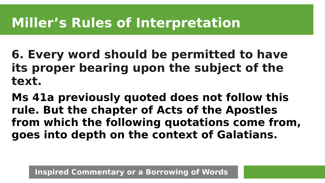# **Miller's Rules of Interpretation**

**6. Every word should be permitted to have its proper bearing upon the subject of the text.**

**Ms 41a previously quoted does not follow this rule. But the chapter of Acts of the Apostles from which the following quotations come from, goes into depth on the context of Galatians.**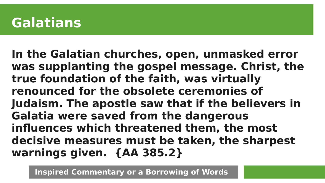**In the Galatian churches, open, unmasked error was supplanting the gospel message. Christ, the true foundation of the faith, was virtually renounced for the obsolete ceremonies of Judaism. The apostle saw that if the believers in Galatia were saved from the dangerous influences which threatened them, the most decisive measures must be taken, the sharpest warnings given. {AA 385.2}**